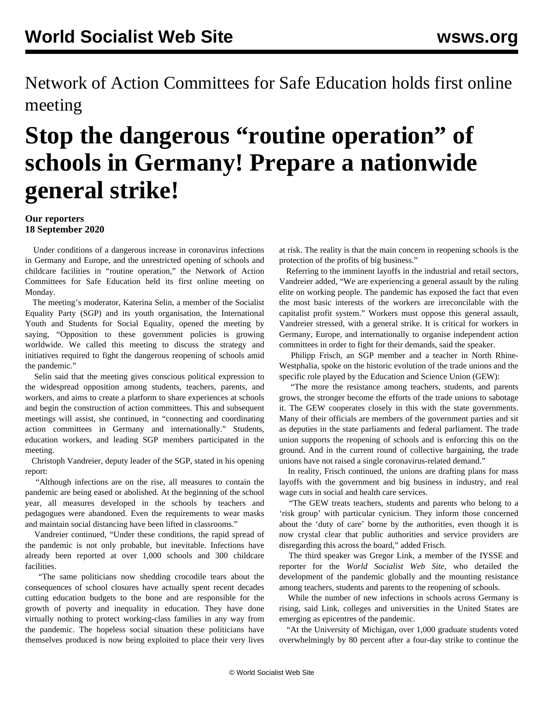Network of Action Committees for Safe Education holds first online meeting

## **Stop the dangerous "routine operation" of schools in Germany! Prepare a nationwide general strike!**

## **Our reporters 18 September 2020**

 Under conditions of a dangerous increase in coronavirus infections in Germany and Europe, and the unrestricted opening of schools and childcare facilities in "routine operation," the Network of Action Committees for Safe Education held its first online meeting on Monday.

 The meeting's moderator, Katerina Selin, a member of the Socialist Equality Party (SGP) and its youth organisation, the International Youth and Students for Social Equality, opened the meeting by saying, "Opposition to these government policies is growing worldwide. We called this meeting to discuss the strategy and initiatives required to fight the dangerous reopening of schools amid the pandemic."

 Selin said that the meeting gives conscious political expression to the widespread opposition among students, teachers, parents, and workers, and aims to create a platform to share experiences at schools and begin the construction of action committees. This and subsequent meetings will assist, she continued, in "connecting and coordinating action committees in Germany and internationally." Students, education workers, and leading SGP members participated in the meeting.

 Christoph Vandreier, deputy leader of the SGP, stated in his opening report:

 "Although infections are on the rise, all measures to contain the pandemic are being eased or abolished. At the beginning of the school year, all measures developed in the schools by teachers and pedagogues were abandoned. Even the requirements to wear masks and maintain social distancing have been lifted in classrooms."

 Vandreier continued, "Under these conditions, the rapid spread of the pandemic is not only probable, but inevitable. Infections have already been reported at over 1,000 schools and 300 childcare facilities.

 "The same politicians now shedding crocodile tears about the consequences of school closures have actually spent recent decades cutting education budgets to the bone and are responsible for the growth of poverty and inequality in education. They have done virtually nothing to protect working-class families in any way from the pandemic. The hopeless social situation these politicians have themselves produced is now being exploited to place their very lives at risk. The reality is that the main concern in reopening schools is the protection of the profits of big business."

 Referring to the imminent layoffs in the industrial and retail sectors, Vandreier added, "We are experiencing a general assault by the ruling elite on working people. The pandemic has exposed the fact that even the most basic interests of the workers are irreconcilable with the capitalist profit system." Workers must oppose this general assault, Vandreier stressed, with a general strike. It is critical for workers in Germany, Europe, and internationally to organise independent action committees in order to fight for their demands, said the speaker.

 Philipp Frisch, an SGP member and a teacher in North Rhine-Westphalia, spoke on the historic evolution of the trade unions and the specific role played by the Education and Science Union (GEW):

 "The more the resistance among teachers, students, and parents grows, the stronger become the efforts of the trade unions to sabotage it. The GEW cooperates closely in this with the state governments. Many of their officials are members of the government parties and sit as deputies in the state parliaments and federal parliament. The trade union supports the reopening of schools and is enforcing this on the ground. And in the current round of collective bargaining, the trade unions have not raised a single coronavirus-related demand."

 In reality, Frisch continued, the unions are drafting plans for mass layoffs with the government and big business in industry, and real wage cuts in social and health care services.

 "The GEW treats teachers, students and parents who belong to a 'risk group' with particular cynicism. They inform those concerned about the 'duty of care' borne by the authorities, even though it is now crystal clear that public authorities and service providers are disregarding this across the board," added Frisch.

 The third speaker was Gregor Link, a member of the IYSSE and reporter for the *World Socialist Web Site*, who detailed the development of the pandemic globally and the mounting resistance among teachers, students and parents to the reopening of schools.

 While the number of new infections in schools across Germany is rising, said Link, colleges and universities in the United States are emerging as epicentres of the pandemic.

 "At the University of Michigan, over 1,000 graduate students voted overwhelmingly by 80 percent after a four-day strike to continue the